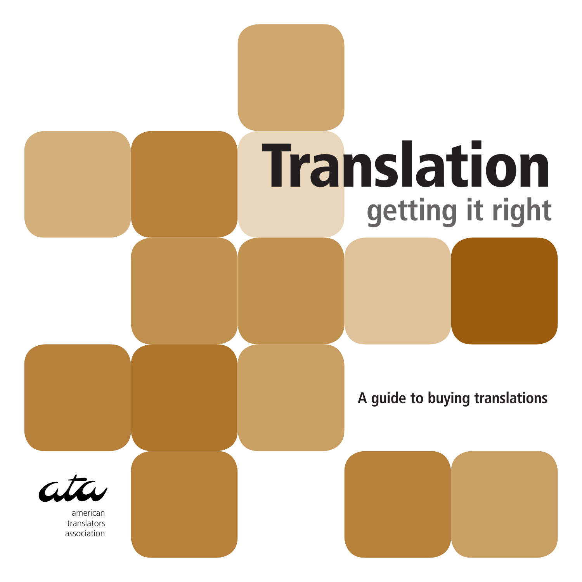# **Translation getting it right**

**A guide to buying translations**



american translators association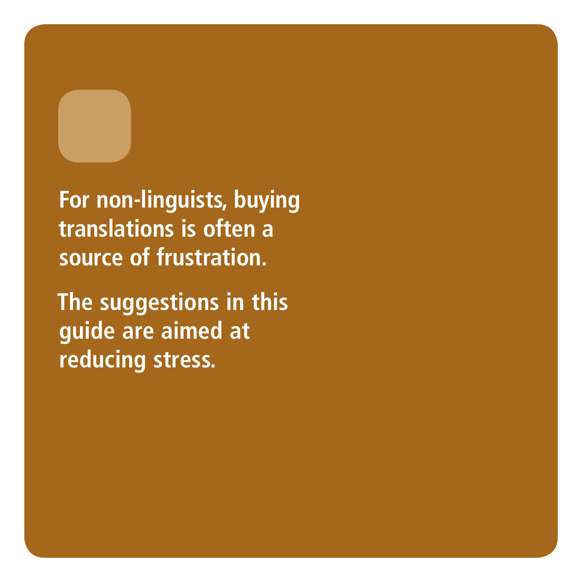**For non-linguists, buying translations is often a source of frustration.** 

**The suggestions in this guide are aimed at reducing stress.**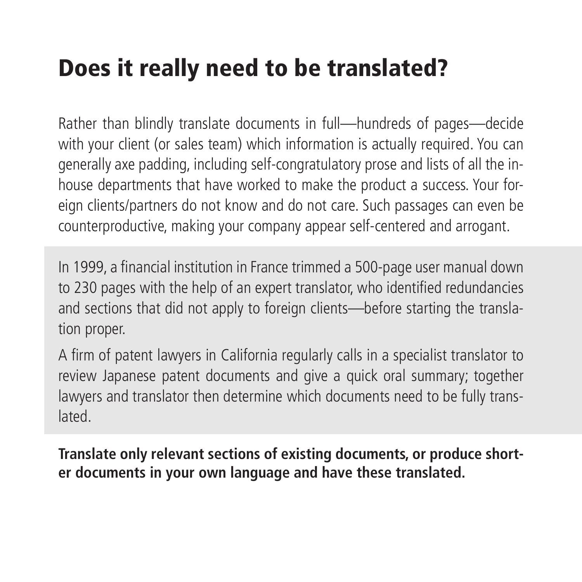## Does it really need to be translated?

Rather than blindly translate documents in full—hundreds of pages—decide with your client (or sales team) which information is actually required. You can generally axe padding, including self-congratulatory prose and lists of all the inhouse departments that have worked to make the product a success. Your foreign clients/partners do not know and do not care. Such passages can even be counterproductive, making your company appear self-centered and arrogant.

In 1999, a financial institution in France trimmed a 500-page user manual down to 230 pages with the help of an expert translator, who identified redundancies and sections that did not apply to foreign clients—before starting the translation proper.

A firm of patent lawyers in California regularly calls in a specialist translator to review Japanese patent documents and give a quick oral summary; together lawyers and translator then determine which documents need to be fully translated.

**Translate only relevant sections of existing documents, or produce shorter documents in your own language and have these translated.**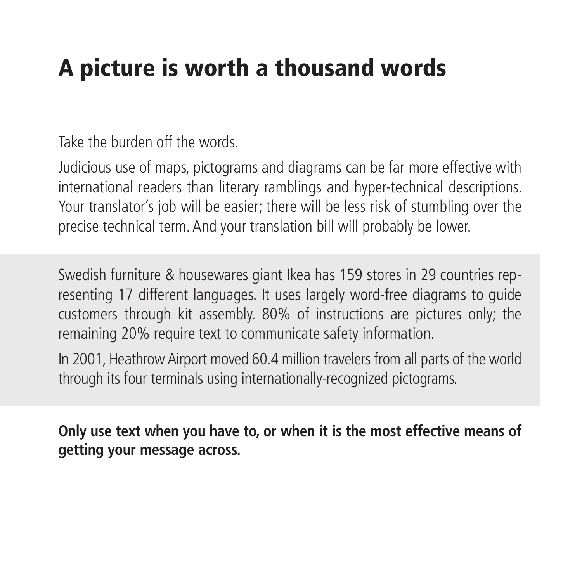#### A picture is worth a thousand words

Take the burden off the words.

Judicious use of maps, pictograms and diagrams can be far more effective with international readers than literary ramblings and hyper-technical descriptions. Your translator's job will be easier; there will be less risk of stumbling over the precise technical term. And your translation bill will probably be lower.

Swedish furniture & housewares giant Ikea has 159 stores in 29 countries representing 17 different languages. It uses largely word-free diagrams to guide customers through kit assembly. 80% of instructions are pictures only; the remaining 20% require text to communicate safety information.

In 2001, Heathrow Airport moved 60.4 million travelers from all parts of the world through its four terminals using internationally-recognized pictograms.

**Only use text when you have to, or when it is the most effective means of getting your message across.**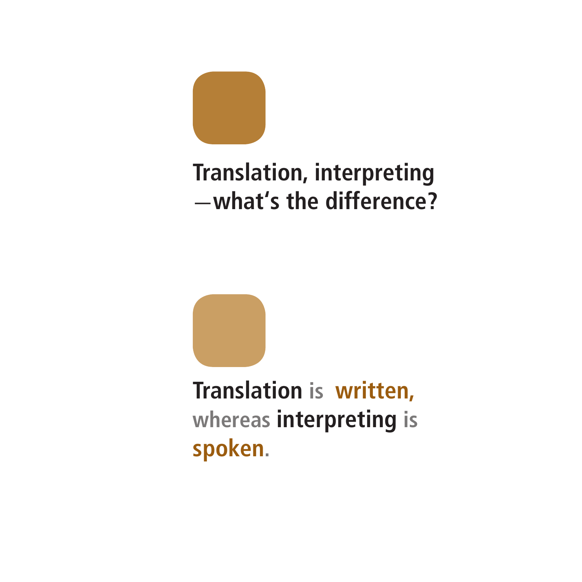

#### **Translation, interpreting**  —**what's the difference?**

**Translation is written, whereas interpreting is spoken.**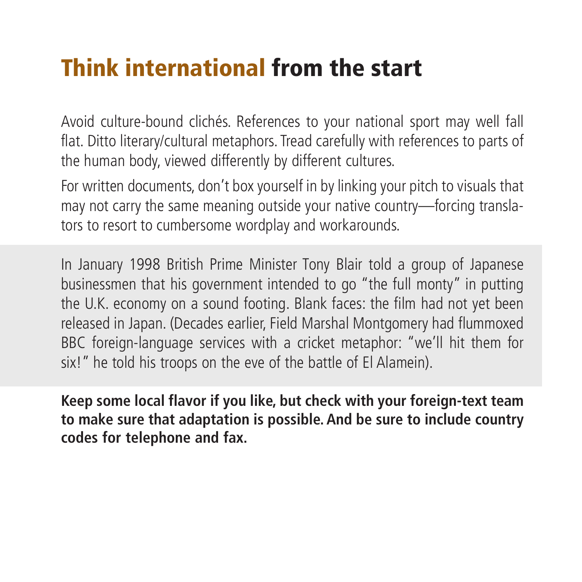#### Think international from the start

Avoid culture-bound clichés. References to your national sport may well fall flat. Ditto literary/cultural metaphors. Tread carefully with references to parts of the human body, viewed differently by different cultures.

For written documents, don't box yourself in by linking your pitch to visuals that may not carry the same meaning outside your native country—forcing translators to resort to cumbersome wordplay and workarounds.

In January 1998 British Prime Minister Tony Blair told a group of Japanese businessmen that his government intended to go "the full monty" in putting the U.K. economy on a sound footing. Blank faces: the film had not yet been released in Japan. (Decades earlier, Field Marshal Montgomery had flummoxed BBC foreign-language services with a cricket metaphor: "we'll hit them for six!" he told his troops on the eve of the battle of El Alamein).

**Keep some local flavor if you like, but check with your foreign-text team to make sure that adaptation is possible. And be sure to include country codes for telephone and fax.**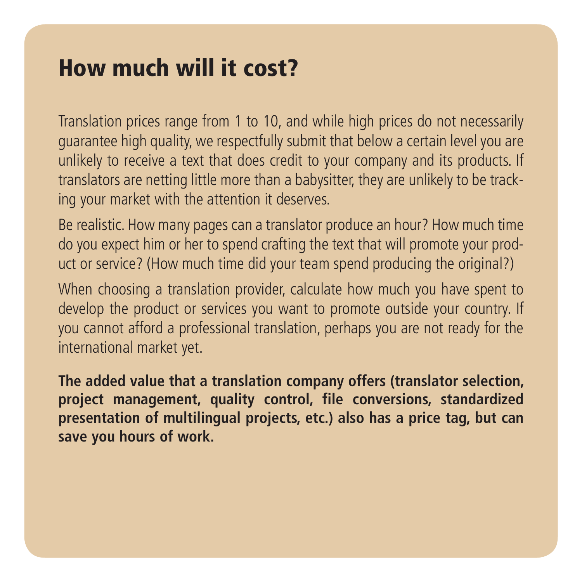#### How much will it cost?

Translation prices range from 1 to 10, and while high prices do not necessarily guarantee high quality, we respectfully submit that below a certain level you are unlikely to receive a text that does credit to your company and its products. If translators are netting little more than a babysitter, they are unlikely to be tracking your market with the attention it deserves.

Be realistic. How many pages can a translator produce an hour? How much time do you expect him or her to spend crafting the text that will promote your product or service? (How much time did your team spend producing the original?)

When choosing a translation provider, calculate how much you have spent to develop the product or services you want to promote outside your country. If you cannot afford a professional translation, perhaps you are not ready for the international market yet.

**The added value that a translation company offers (translator selection, project management, quality control, file conversions, standardized presentation of multilingual projects, etc.) also has a price tag, but can save you hours of work.**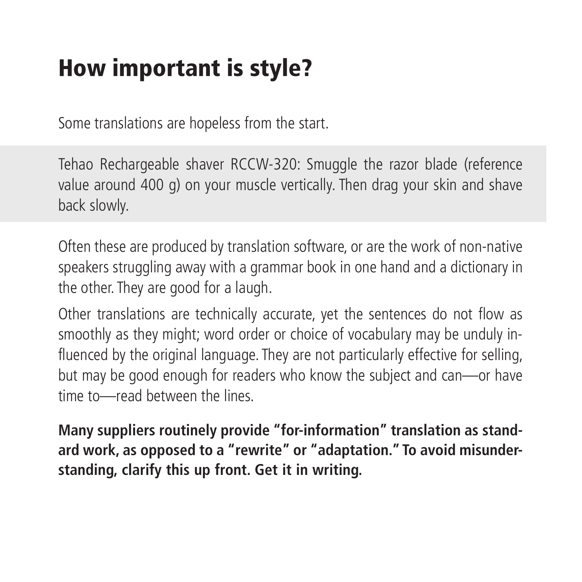## How important is style?

Some translations are hopeless from the start.

Tehao Rechargeable shaver RCCW-320: Smuggle the razor blade (reference value around 400 g) on your muscle vertically. Then drag your skin and shave back slowly.

Often these are produced by translation software, or are the work of non-native speakers struggling away with a grammar book in one hand and a dictionary in the other. They are good for a laugh.

Other translations are technically accurate, yet the sentences do not flow as smoothly as they might; word order or choice of vocabulary may be unduly influenced by the original language. They are not particularly effective for selling, but may be good enough for readers who know the subject and can—or have time to—read between the lines.

**Many suppliers routinely provide "for-information" translation as standard work, as opposed to a "rewrite" or "adaptation." To avoid misunderstanding, clarify this up front. Get it in writing.**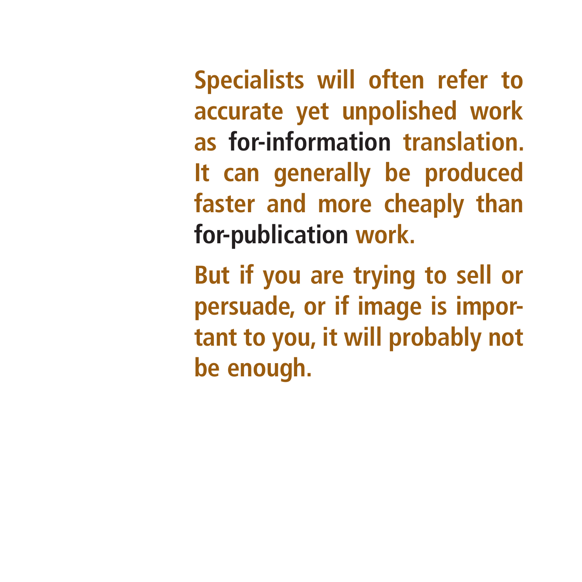**Specialists will often refer to accurate yet unpolished work as for-information translation. It can generally be produced faster and more cheaply than for-publication work.** 

**But if you are trying to sell or persuade, or if image is important to you, it will probably not be enough.**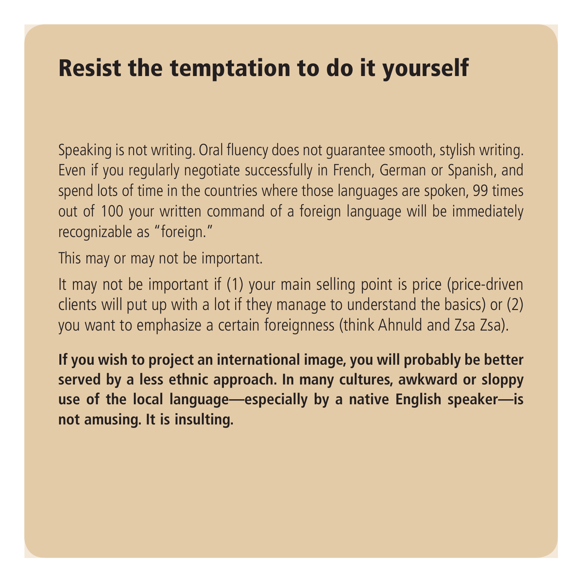#### Resist the temptation to do it yourself

Speaking is not writing. Oral fluency does not guarantee smooth, stylish writing. Even if you regularly negotiate successfully in French, German or Spanish, and spend lots of time in the countries where those languages are spoken, 99 times out of 100 your written command of a foreign language will be immediately recognizable as "foreign."

This may or may not be important.

It may not be important if (1) your main selling point is price (price-driven clients will put up with a lot if they manage to understand the basics) or (2) you want to emphasize a certain foreignness (think Ahnuld and Zsa Zsa).

**If you wish to project an international image, you will probably be better served by a less ethnic approach. In many cultures, awkward or sloppy use of the local language—especially by a native English speaker—is not amusing. It is insulting.**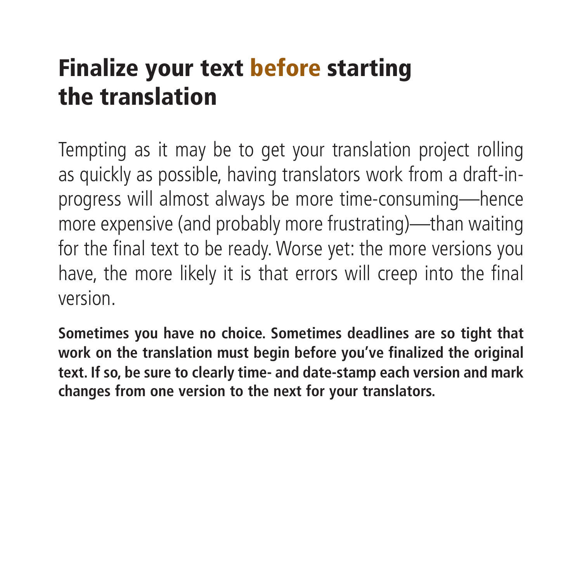# Finalize your text before starting the translation

Tempting as it may be to get your translation project rolling as quickly as possible, having translators work from a draft-inprogress will almost always be more time-consuming—hence more expensive (and probably more frustrating)—than waiting for the final text to be ready. Worse yet: the more versions you have, the more likely it is that errors will creep into the final version.

**Sometimes you have no choice. Sometimes deadlines are so tight that work on the translation must begin before you've finalized the original text. If so, be sure to clearly time- and date-stamp each version and mark changes from one version to the next for your translators.**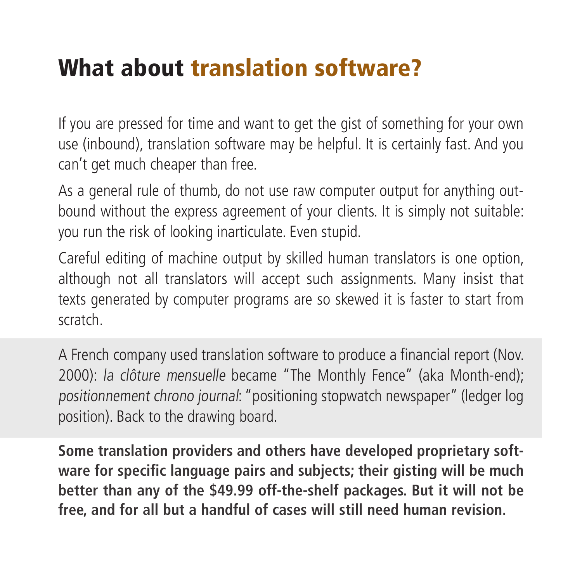#### What about translation software?

If you are pressed for time and want to get the gist of something for your own use (inbound), translation software may be helpful. It is certainly fast. And you can't get much cheaper than free.

As a general rule of thumb, do not use raw computer output for anything outbound without the express agreement of your clients. It is simply not suitable: you run the risk of looking inarticulate. Even stupid.

Careful editing of machine output by skilled human translators is one option, although not all translators will accept such assignments. Many insist that texts generated by computer programs are so skewed it is faster to start from scratch.

A French company used translation software to produce a financial report (Nov. 2000): la clôture mensuelle became "The Monthly Fence" (aka Month-end); positionnement chrono journal: "positioning stopwatch newspaper" (ledger log position). Back to the drawing board.

**Some translation providers and others have developed proprietary software for specific language pairs and subjects; their gisting will be much better than any of the \$49.99 off-the-shelf packages. But it will not be free, and for all but a handful of cases will still need human revision.**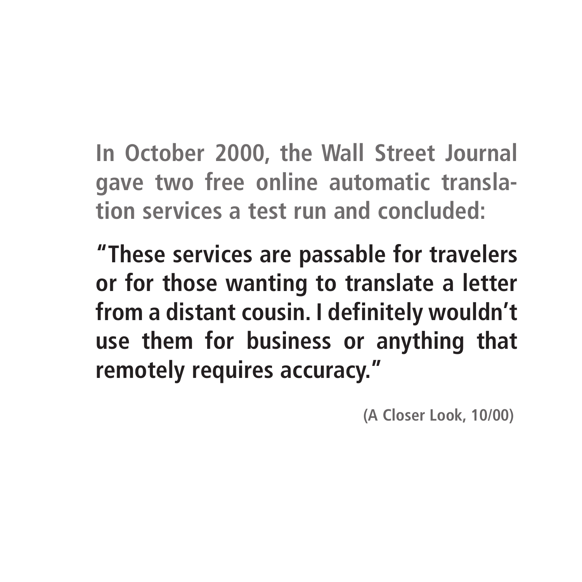**In October 2000, the Wall Street Journal gave two free online automatic translation services a test run and concluded:** 

**"These services are passable for travelers or for those wanting to translate a letter from a distant cousin. I definitely wouldn't use them for business or anything that remotely requires accuracy."** 

**(A Closer Look, 10/00)**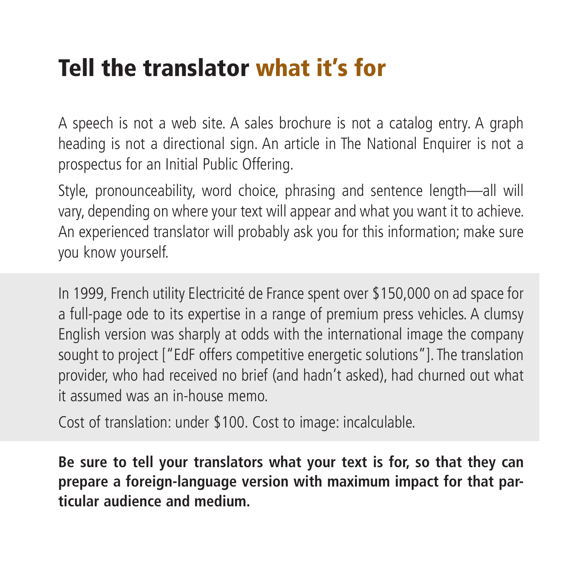#### Tell the translator what it's for

A speech is not a web site. A sales brochure is not a catalog entry. A graph heading is not a directional sign. An article in The National Enquirer is not a prospectus for an Initial Public Offering.

Style, pronounceability, word choice, phrasing and sentence length—all will vary, depending on where your text will appear and what you want it to achieve. An experienced translator will probably ask you for this information; make sure you know yourself.

In 1999, French utility Electricité de France spent over \$150,000 on ad space for a full-page ode to its expertise in a range of premium press vehicles. A clumsy English version was sharply at odds with the international image the company sought to project ["EdF offers competitive energetic solutions"]. The translation provider, who had received no brief (and hadn't asked), had churned out what it assumed was an in-house memo.

Cost of translation: under \$100. Cost to image: incalculable.

**Be sure to tell your translators what your text is for, so that they can prepare a foreign-language version with maximum impact for that particular audience and medium.**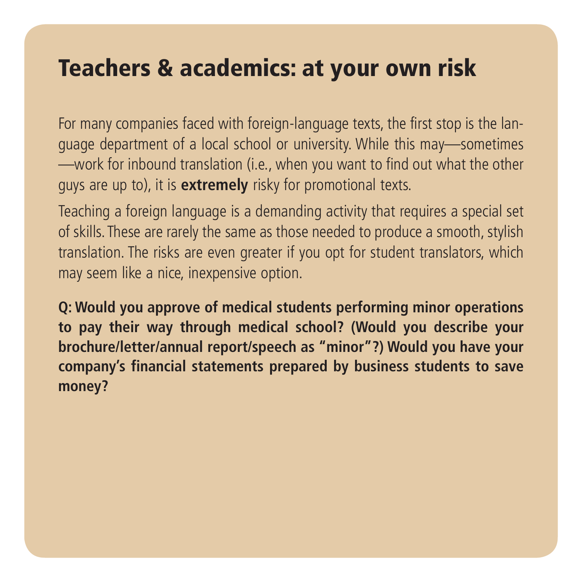#### Teachers & academics: at your own risk

For many companies faced with foreign-language texts, the first stop is the language department of a local school or university. While this may—sometimes —work for inbound translation (i.e., when you want to find out what the other guys are up to), it is **extremely** risky for promotional texts.

Teaching a foreign language is a demanding activity that requires a special set of skills. These are rarely the same as those needed to produce a smooth, stylish translation. The risks are even greater if you opt for student translators, which may seem like a nice, inexpensive option.

**Q: Would you approve of medical students performing minor operations to pay their way through medical school? (Would you describe your brochure/letter/annual report/speech as "minor"?) Would you have your company's financial statements prepared by business students to save money?**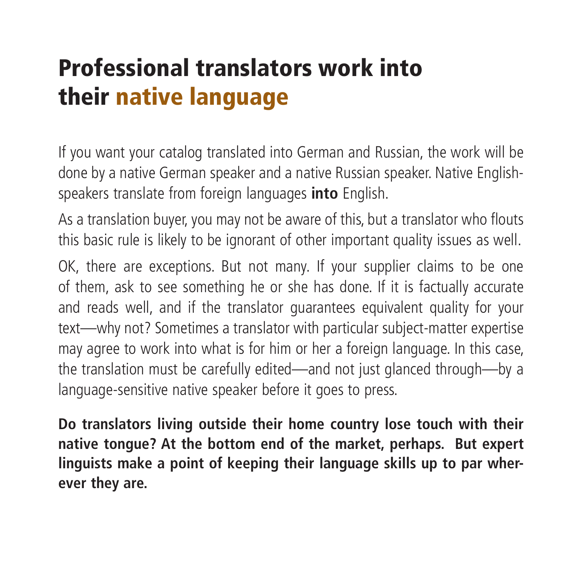# Professional translators work into their native language

If you want your catalog translated into German and Russian, the work will be done by a native German speaker and a native Russian speaker. Native Englishspeakers translate from foreign languages **into** English.

As a translation buyer, you may not be aware of this, but a translator who flouts this basic rule is likely to be ignorant of other important quality issues as well.

OK, there are exceptions. But not many. If your supplier claims to be one of them, ask to see something he or she has done. If it is factually accurate and reads well, and if the translator guarantees equivalent quality for your text—why not? Sometimes a translator with particular subject-matter expertise may agree to work into what is for him or her a foreign language. In this case, the translation must be carefully edited—and not just glanced through—by a language-sensitive native speaker before it goes to press.

**Do translators living outside their home country lose touch with their native tongue? At the bottom end of the market, perhaps. But expert linguists make a point of keeping their language skills up to par wherever they are.**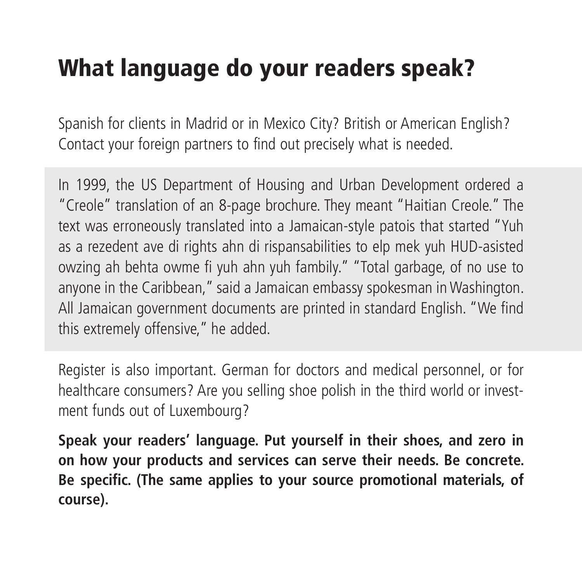## What language do your readers speak?

Spanish for clients in Madrid or in Mexico City? British or American English? Contact your foreign partners to find out precisely what is needed.

In 1999, the US Department of Housing and Urban Development ordered a "Creole" translation of an 8-page brochure. They meant "Haitian Creole." The text was erroneously translated into a Jamaican-style patois that started "Yuh as a rezedent ave di rights ahn di rispansabilities to elp mek yuh HUD-asisted owzing ah behta owme fi yuh ahn yuh fambily." "Total garbage, of no use to anyone in the Caribbean," said a Jamaican embassy spokesman in Washington. All Jamaican government documents are printed in standard English. "We find this extremely offensive," he added.

Register is also important. German for doctors and medical personnel, or for healthcare consumers? Are you selling shoe polish in the third world or investment funds out of Luxembourg?

**Speak your readers' language. Put yourself in their shoes, and zero in on how your products and services can serve their needs. Be concrete. Be specific. (The same applies to your source promotional materials, of course).**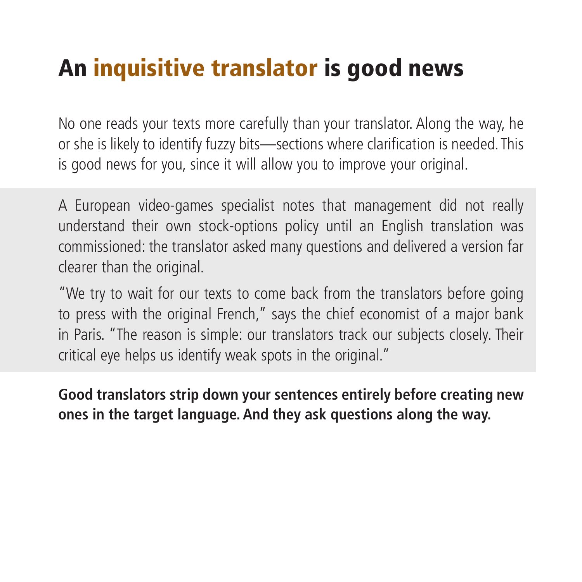#### An inquisitive translator is good news

No one reads your texts more carefully than your translator. Along the way, he or she is likely to identify fuzzy bits—sections where clarification is needed. This is good news for you, since it will allow you to improve your original.

A European video-games specialist notes that management did not really understand their own stock-options policy until an English translation was commissioned: the translator asked many questions and delivered a version far clearer than the original.

"We try to wait for our texts to come back from the translators before going to press with the original French," says the chief economist of a major bank in Paris. "The reason is simple: our translators track our subjects closely. Their critical eye helps us identify weak spots in the original."

**Good translators strip down your sentences entirely before creating new ones in the target language. And they ask questions along the way.**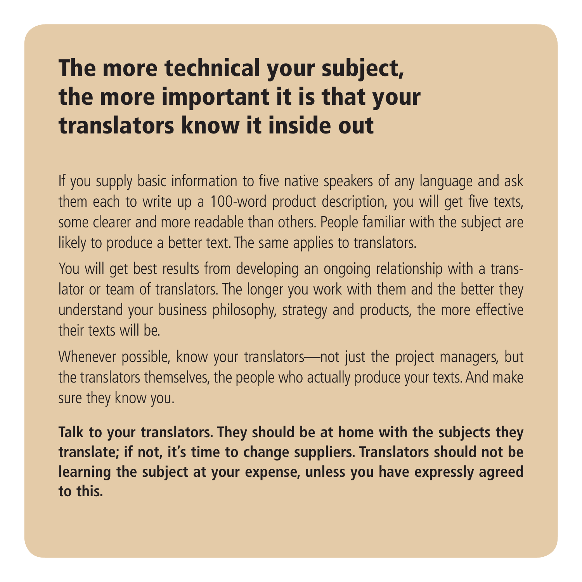#### The more technical your subject, the more important it is that your translators know it inside out

If you supply basic information to five native speakers of any language and ask them each to write up a 100-word product description, you will get five texts, some clearer and more readable than others. People familiar with the subject are likely to produce a better text. The same applies to translators.

You will get best results from developing an ongoing relationship with a translator or team of translators. The longer you work with them and the better they understand your business philosophy, strategy and products, the more effective their texts will be.

Whenever possible, know your translators—not just the project managers, but the translators themselves, the people who actually produce your texts. And make sure they know you.

**Talk to your translators. They should be at home with the subjects they translate; if not, it's time to change suppliers. Translators should not be learning the subject at your expense, unless you have expressly agreed to this.**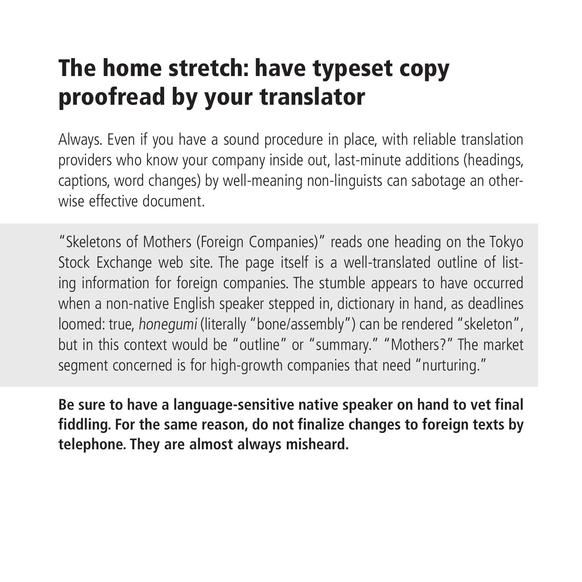# The home stretch: have typeset copy proofread by your translator

Always. Even if you have a sound procedure in place, with reliable translation providers who know your company inside out, last-minute additions (headings, captions, word changes) by well-meaning non-linguists can sabotage an otherwise effective document.

"Skeletons of Mothers (Foreign Companies)" reads one heading on the Tokyo Stock Exchange web site. The page itself is a well-translated outline of listing information for foreign companies. The stumble appears to have occurred when a non-native English speaker stepped in, dictionary in hand, as deadlines loomed: true, honegumi (literally "bone/assembly") can be rendered "skeleton", but in this context would be "outline" or "summary." "Mothers?" The market segment concerned is for high-growth companies that need "nurturing."

**Be sure to have a language-sensitive native speaker on hand to vet final fiddling. For the same reason, do not finalize changes to foreign texts by telephone. They are almost always misheard.**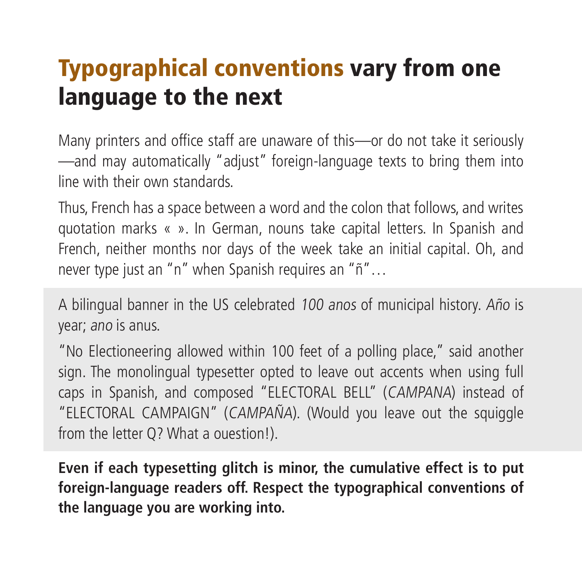# Typographical conventions vary from one language to the next

Many printers and office staff are unaware of this—or do not take it seriously —and may automatically "adjust" foreign-language texts to bring them into line with their own standards.

Thus, French has a space between a word and the colon that follows, and writes quotation marks « ». In German, nouns take capital letters. In Spanish and French, neither months nor days of the week take an initial capital. Oh, and never type just an "n" when Spanish requires an "ñ"…

A bilingual banner in the US celebrated 100 anos of municipal history. Año is year; ano is anus.

"No Electioneering allowed within 100 feet of a polling place," said another sign. The monolingual typesetter opted to leave out accents when using full caps in Spanish, and composed "ELECTORAL BELL" (CAMPANA) instead of "ELECTORAL CAMPAIGN" (CAMPAÑA). (Would you leave out the squiggle from the letter Q? What a ouestion!).

**Even if each typesetting glitch is minor, the cumulative effect is to put foreign-language readers off. Respect the typographical conventions of the language you are working into.**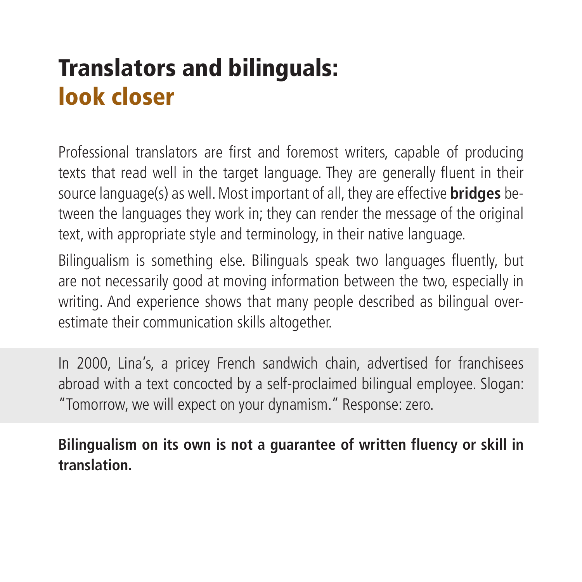# Translators and bilinguals: look closer

Professional translators are first and foremost writers, capable of producing texts that read well in the target language. They are generally fluent in their source language(s) as well. Most important of all, they are effective **bridges** between the languages they work in; they can render the message of the original text, with appropriate style and terminology, in their native language.

Bilingualism is something else. Bilinguals speak two languages fluently, but are not necessarily good at moving information between the two, especially in writing. And experience shows that many people described as bilingual overestimate their communication skills altogether.

In 2000, Lina's, a pricey French sandwich chain, advertised for franchisees abroad with a text concocted by a self-proclaimed bilingual employee. Slogan: "Tomorrow, we will expect on your dynamism." Response: zero.

**Bilingualism on its own is not a guarantee of written fluency or skill in translation.**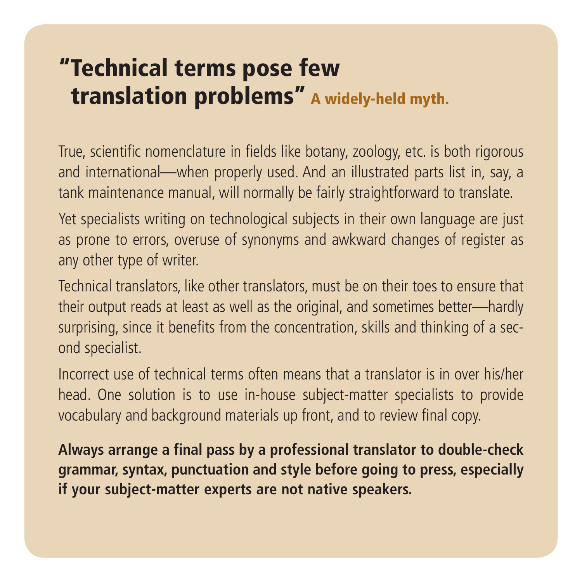#### "Technical terms pose few translation problems" A widely-held myth.

True, scientific nomenclature in fields like botany, zoology, etc. is both rigorous and international—when properly used. And an illustrated parts list in, say, a tank maintenance manual, will normally be fairly straightforward to translate.

Yet specialists writing on technological subjects in their own language are just as prone to errors, overuse of synonyms and awkward changes of register as any other type of writer.

Technical translators, like other translators, must be on their toes to ensure that their output reads at least as well as the original, and sometimes better—hardly surprising, since it benefits from the concentration, skills and thinking of a second specialist.

Incorrect use of technical terms often means that a translator is in over his/her head. One solution is to use in-house subject-matter specialists to provide vocabulary and background materials up front, and to review final copy.

**Always arrange a final pass by a professional translator to double-check grammar, syntax, punctuation and style before going to press, especially if your subject-matter experts are not native speakers.**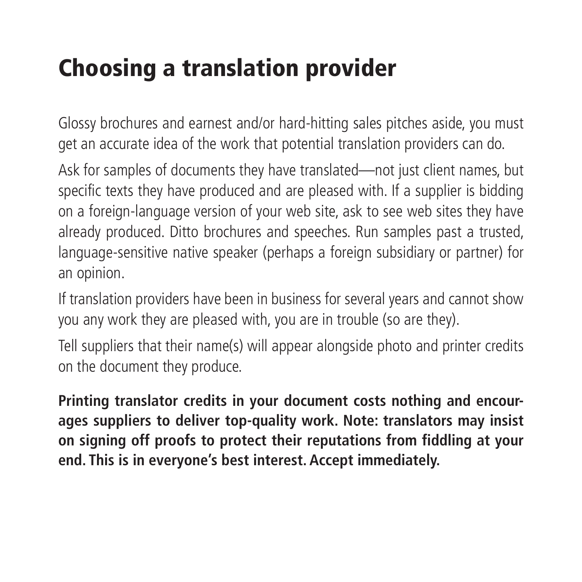## Choosing a translation provider

Glossy brochures and earnest and/or hard-hitting sales pitches aside, you must get an accurate idea of the work that potential translation providers can do.

Ask for samples of documents they have translated—not just client names, but specific texts they have produced and are pleased with. If a supplier is bidding on a foreign-language version of your web site, ask to see web sites they have already produced. Ditto brochures and speeches. Run samples past a trusted, language-sensitive native speaker (perhaps a foreign subsidiary or partner) for an opinion.

If translation providers have been in business for several years and cannot show you any work they are pleased with, you are in trouble (so are they).

Tell suppliers that their name(s) will appear alongside photo and printer credits on the document they produce.

**Printing translator credits in your document costs nothing and encourages suppliers to deliver top-quality work. Note: translators may insist on signing off proofs to protect their reputations from fiddling at your end. This is in everyone's best interest. Accept immediately.**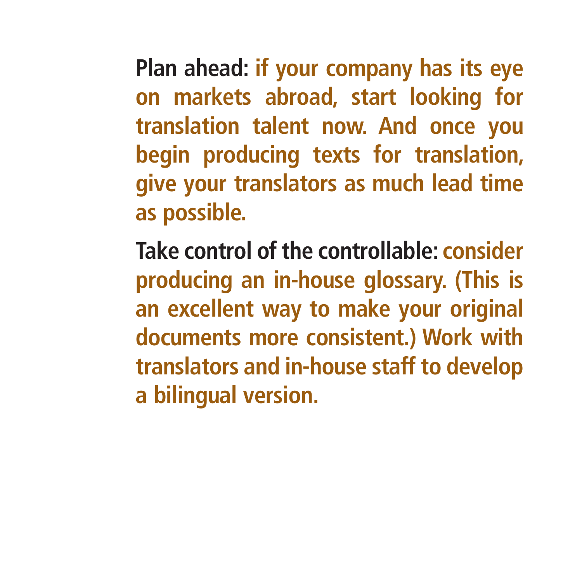**Plan ahead: if your company has its eye on markets abroad, start looking for translation talent now. And once you begin producing texts for translation, give your translators as much lead time as possible.**

**Take control of the controllable: consider producing an in-house glossary. (This is an excellent way to make your original documents more consistent.) Work with translators and in-house staff to develop a bilingual version.**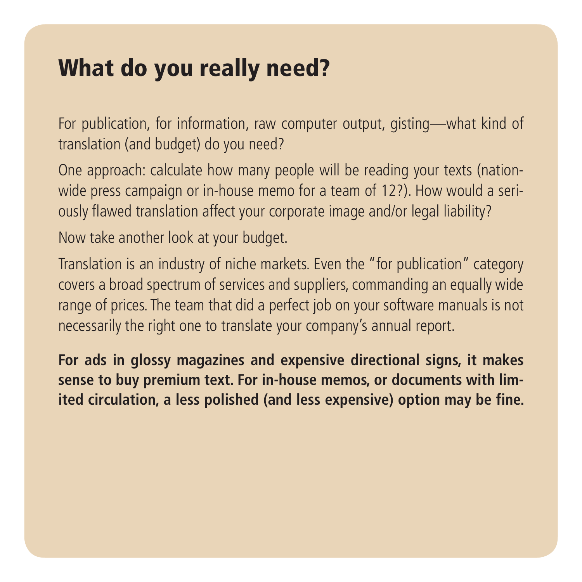#### What do you really need?

For publication, for information, raw computer output, gisting—what kind of translation (and budget) do you need?

One approach: calculate how many people will be reading your texts (nationwide press campaign or in-house memo for a team of 12?). How would a seriously flawed translation affect your corporate image and/or legal liability?

Now take another look at your budget.

Translation is an industry of niche markets. Even the "for publication" category covers a broad spectrum of services and suppliers, commanding an equally wide range of prices. The team that did a perfect job on your software manuals is not necessarily the right one to translate your company's annual report.

**For ads in glossy magazines and expensive directional signs, it makes sense to buy premium text. For in-house memos, or documents with limited circulation, a less polished (and less expensive) option may be fine.**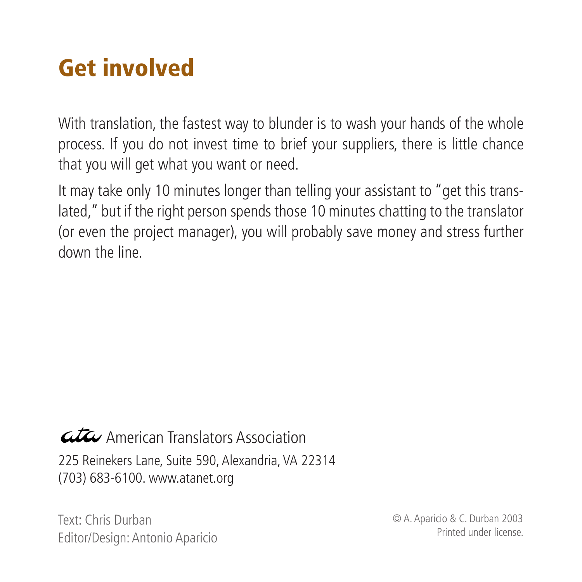# Get involved

With translation, the fastest way to blunder is to wash your hands of the whole process. If you do not invest time to brief your suppliers, there is little chance that you will get what you want or need.

It may take only 10 minutes longer than telling your assistant to "get this translated," but if the right person spends those 10 minutes chatting to the translator (or even the project manager), you will probably save money and stress further down the line.

#### American Translators Association 225 Reinekers Lane, Suite 590, Alexandria, VA 22314 (703) 683-6100. www.atanet.org